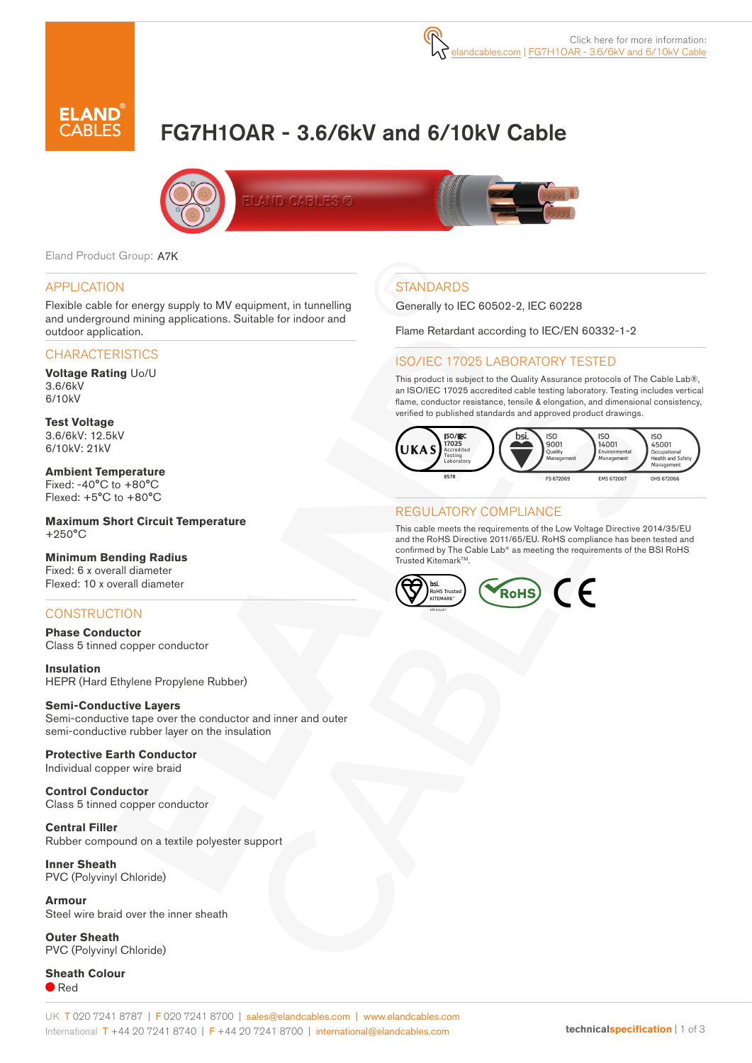

# FG7H1OAR - 3.6/6kV and 6/10kV Cable



Eland Product Group: A7K

#### APPLICATION

Flexible cable for energy supply to MV equipment, in tunnelling and underground mining applications. Suitable for indoor and outdoor application.

#### **CHARACTERISTICS**

**Voltage Rating** Uo/U 3.6/6kV 6/10kV

**Test Voltage** 3.6/6kV: 12.5kV 6/10kV: 21kV

**Ambient Temperature** Fixed: -40°C to +80°C Flexed: +5°C to +80°C

**Maximum Short Circuit Temperature** +250°C

# **Minimum Bending Radius**

Fixed: 6 x overall diameter Flexed: 10 x overall diameter

#### **CONSTRUCTION**

**Phase Conductor** Class 5 tinned copper conductor

**Insulation** HEPR (Hard Ethylene Propylene Rubber)

#### **Semi-Conductive Layers** Semi-conductive tape over the conductor and inner and outer

semi-conductive rubber layer on the insulation

**Protective Earth Conductor** Individual copper wire braid

**Control Conductor** Class 5 tinned copper conductor

**Central Filler** Rubber compound on a textile polyester support

**Inner Sheath** PVC (Polyvinyl Chloride)

**Armour** Steel wire braid over the inner sheath

**Outer Sheath** PVC (Polyvinyl Chloride)

**Sheath Colour** ● Red

# **STANDARDS**

Generally to IEC 60502-2, IEC 60228

Flame Retardant according to IEC/EN 60332-1-2

#### ISO/IEC 17025 LABORATORY TESTED

This product is subject to the Quality Assurance protocols of The Cable Lab®, an ISO/IEC 17025 accredited cable testing laboratory. Testing includes vertical flame, conductor resistance, tensile & elongation, and dimensional consistency, verified to published standards and approved product drawings.



#### REGULATORY COMPLIANCE

This cable meets the requirements of the Low Voltage Directive 2014/35/EU and the RoHS Directive 2011/65/EU. RoHS compliance has been tested and confirmed by The Cable Lab® as meeting the requirements of the BSI RoHS Trusted Kitemark™

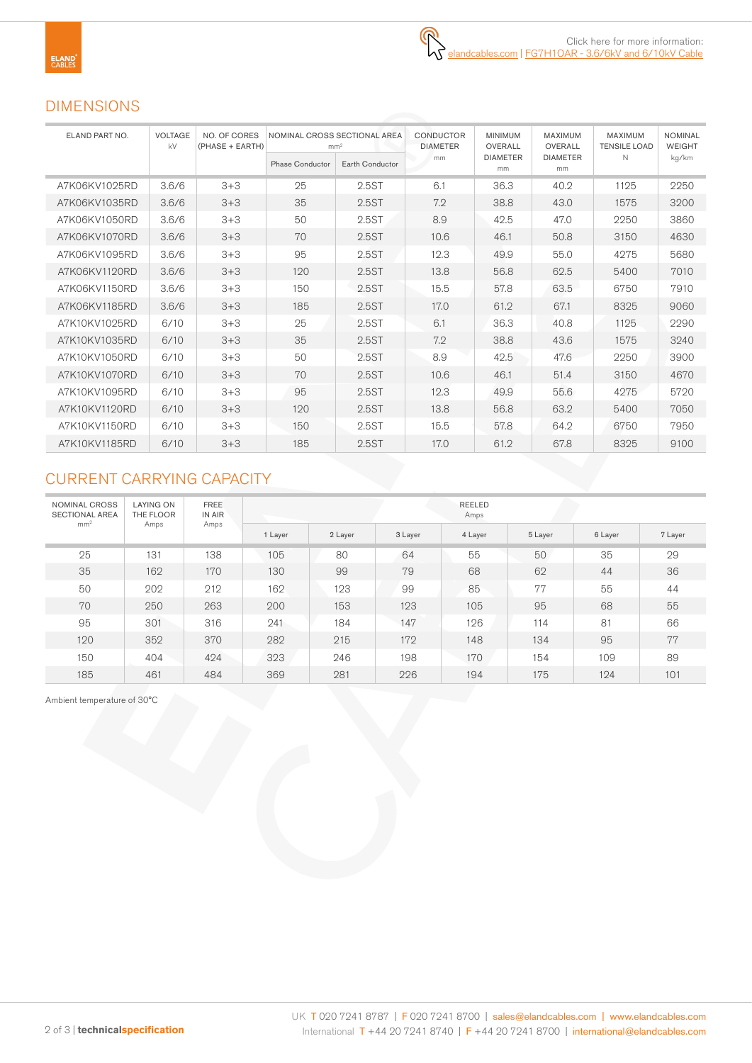# DIMENSIONS

| ELAND PART NO. | <b>VOLTAGE</b><br>kV | NO. OF CORES<br>(PHASE + EARTH) | NOMINAL CROSS SECTIONAL AREA<br>mm <sup>2</sup> |                 | CONDUCTOR<br><b>DIAMETER</b> | <b>MINIMUM</b><br>OVERALL | <b>MAXIMUM</b><br>OVERALL | <b>MAXIMUM</b><br><b>TENSILE LOAD</b> | <b>NOMINAL</b><br><b>WEIGHT</b> |
|----------------|----------------------|---------------------------------|-------------------------------------------------|-----------------|------------------------------|---------------------------|---------------------------|---------------------------------------|---------------------------------|
|                |                      |                                 | <b>Phase Conductor</b>                          | Earth Conductor | mm                           | <b>DIAMETER</b><br>mm     | <b>DIAMETER</b><br>mm     | N                                     | kg/km                           |
| A7K06KV1025RD  | 3.6/6                | $3 + 3$                         | 25                                              | 2.5ST           | 6.1                          | 36.3                      | 40.2                      | 1125                                  | 2250                            |
| A7K06KV1035RD  | 3.6/6                | $3 + 3$                         | 35                                              | 2.5ST           | 7.2                          | 38.8                      | 43.0                      | 1575                                  | 3200                            |
| A7K06KV1050RD  | 3.6/6                | $3+3$                           | 50                                              | 2.5ST           | 8.9                          | 42.5                      | 47.0                      | 2250                                  | 3860                            |
| A7K06KV1070RD  | 3.6/6                | $3 + 3$                         | 70                                              | 2.5ST           | 10.6                         | 46.1                      | 50.8                      | 3150                                  | 4630                            |
| A7K06KV1095RD  | 3.6/6                | $3 + 3$                         | 95                                              | 2.5ST           | 12.3                         | 49.9                      | 55.0                      | 4275                                  | 5680                            |
| A7K06KV1120RD  | 3.6/6                | $3 + 3$                         | 120                                             | 2.5ST           | 13.8                         | 56.8                      | 62.5                      | 5400                                  | 7010                            |
| A7K06KV1150RD  | 3.6/6                | $3 + 3$                         | 150                                             | 2.5ST           | 15.5                         | 57.8                      | 63.5                      | 6750                                  | 7910                            |
| A7K06KV1185RD  | 3.6/6                | $3 + 3$                         | 185                                             | 2.5ST           | 17.0                         | 61.2                      | 67.1                      | 8325                                  | 9060                            |
| A7K10KV1025RD  | 6/10                 | $3 + 3$                         | 25                                              | 2.5ST           | 6.1                          | 36.3                      | 40.8                      | 1125                                  | 2290                            |
| A7K10KV1035RD  | 6/10                 | $3 + 3$                         | 35                                              | 2.5ST           | 7.2                          | 38.8                      | 43.6                      | 1575                                  | 3240                            |
| A7K10KV1050RD  | 6/10                 | $3 + 3$                         | 50                                              | 2.5ST           | 8.9                          | 42.5                      | 47.6                      | 2250                                  | 3900                            |
| A7K10KV1070RD  | 6/10                 | $3 + 3$                         | 70                                              | 2.5ST           | 10.6                         | 46.1                      | 51.4                      | 3150                                  | 4670                            |
| A7K10KV1095RD  | 6/10                 | $3 + 3$                         | 95                                              | 2.5ST           | 12.3                         | 49.9                      | 55.6                      | 4275                                  | 5720                            |
| A7K10KV1120RD  | 6/10                 | $3 + 3$                         | 120                                             | 2.5ST           | 13.8                         | 56.8                      | 63.2                      | 5400                                  | 7050                            |
| A7K10KV1150RD  | 6/10                 | $3+3$                           | 150                                             | 2.5ST           | 15.5                         | 57.8                      | 64.2                      | 6750                                  | 7950                            |
| A7K10KV1185RD  | 6/10                 | $3+3$                           | 185                                             | 2.5ST           | 17.0                         | 61.2                      | 67.8                      | 8325                                  | 9100                            |

# CURRENT CARRYING CAPACITY

| NOMINAL CROSS<br><b>SECTIONAL AREA</b> | <b>LAYING ON</b><br>THE FLOOR | <b>FREE</b><br>IN AIR<br>Amps | REELED<br>Amps |         |         |         |         |         |         |  |  |  |  |
|----------------------------------------|-------------------------------|-------------------------------|----------------|---------|---------|---------|---------|---------|---------|--|--|--|--|
| mm <sup>2</sup>                        | Amps                          |                               | 1 Layer        | 2 Layer | 3 Layer | 4 Layer | 5 Layer | 6 Layer | 7 Layer |  |  |  |  |
| 25                                     | 131                           | 138                           | 105            | 80      | 64      | 55      | 50      | 35      | 29      |  |  |  |  |
| 35                                     | 162                           | 170                           | 130            | 99      | 79      | 68      | 62      | 44      | 36      |  |  |  |  |
| 50                                     | 202                           | 212                           | 162            | 123     | 99      | 85      | 77      | 55      | 44      |  |  |  |  |
| 70                                     | 250                           | 263                           | 200            | 153     | 123     | 105     | 95      | 68      | 55      |  |  |  |  |
| 95                                     | 301                           | 316                           | 241            | 184     | 147     | 126     | 114     | 81      | 66      |  |  |  |  |
| 120                                    | 352                           | 370                           | 282            | 215     | 172     | 148     | 134     | 95      | 77      |  |  |  |  |
| 150                                    | 404                           | 424                           | 323            | 246     | 198     | 170     | 154     | 109     | 89      |  |  |  |  |
| 185                                    | 461                           | 484                           | 369            | 281     | 226     | 194     | 175     | 124     | 101     |  |  |  |  |

Ambient temperature of 30°C